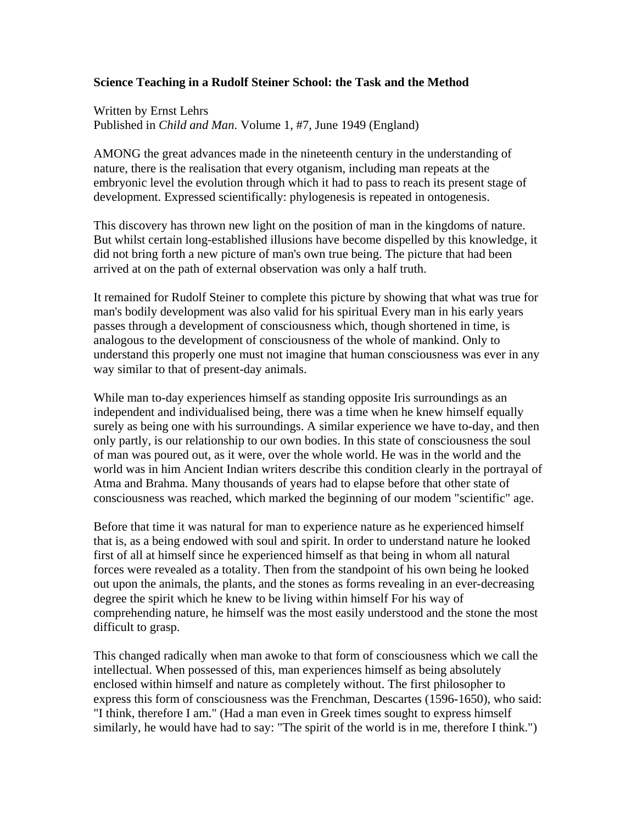## **Science Teaching in a Rudolf Steiner School: the Task and the Method**

Written by Ernst Lehrs Published in *Child and Man*. Volume 1, #7, June 1949 (England)

AMONG the great advances made in the nineteenth century in the understanding of nature, there is the realisation that every otganism, including man repeats at the embryonic level the evolution through which it had to pass to reach its present stage of development. Expressed scientifically: phylogenesis is repeated in ontogenesis.

This discovery has thrown new light on the position of man in the kingdoms of nature. But whilst certain long-established illusions have become dispelled by this knowledge, it did not bring forth a new picture of man's own true being. The picture that had been arrived at on the path of external observation was only a half truth.

It remained for Rudolf Steiner to complete this picture by showing that what was true for man's bodily development was also valid for his spiritual Every man in his early years passes through a development of consciousness which, though shortened in time, is analogous to the development of consciousness of the whole of mankind. Only to understand this properly one must not imagine that human consciousness was ever in any way similar to that of present-day animals.

While man to-day experiences himself as standing opposite Iris surroundings as an independent and individualised being, there was a time when he knew himself equally surely as being one with his surroundings. A similar experience we have to-day, and then only partly, is our relationship to our own bodies. In this state of consciousness the soul of man was poured out, as it were, over the whole world. He was in the world and the world was in him Ancient Indian writers describe this condition clearly in the portrayal of Atma and Brahma. Many thousands of years had to elapse before that other state of consciousness was reached, which marked the beginning of our modem "scientific" age.

Before that time it was natural for man to experience nature as he experienced himself that is, as a being endowed with soul and spirit. In order to understand nature he looked first of all at himself since he experienced himself as that being in whom all natural forces were revealed as a totality. Then from the standpoint of his own being he looked out upon the animals, the plants, and the stones as forms revealing in an ever-decreasing degree the spirit which he knew to be living within himself For his way of comprehending nature, he himself was the most easily understood and the stone the most difficult to grasp.

This changed radically when man awoke to that form of consciousness which we call the intellectual. When possessed of this, man experiences himself as being absolutely enclosed within himself and nature as completely without. The first philosopher to express this form of consciousness was the Frenchman, Descartes (1596-1650), who said: "I think, therefore I am." (Had a man even in Greek times sought to express himself similarly, he would have had to say: "The spirit of the world is in me, therefore I think.")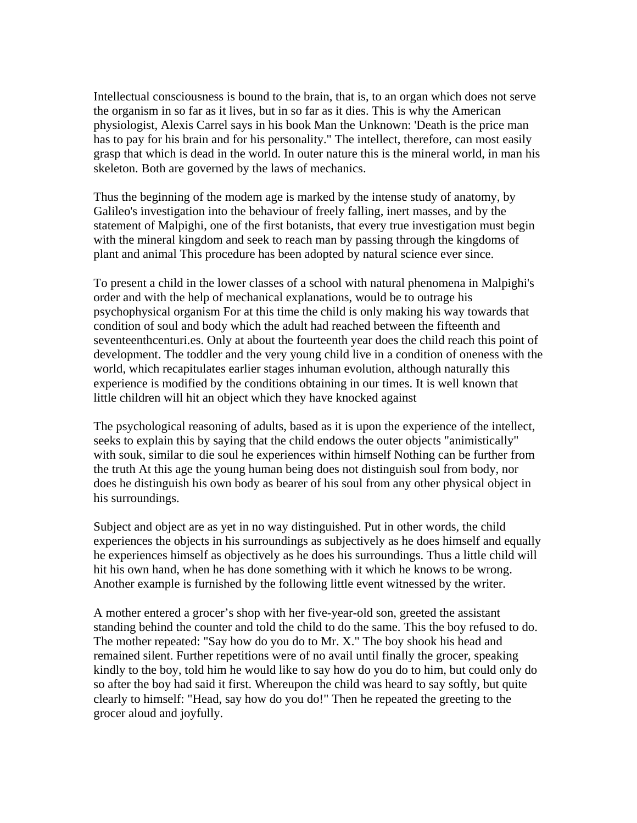Intellectual consciousness is bound to the brain, that is, to an organ which does not serve the organism in so far as it lives, but in so far as it dies. This is why the American physiologist, Alexis Carrel says in his book Man the Unknown: 'Death is the price man has to pay for his brain and for his personality." The intellect, therefore, can most easily grasp that which is dead in the world. In outer nature this is the mineral world, in man his skeleton. Both are governed by the laws of mechanics.

Thus the beginning of the modem age is marked by the intense study of anatomy, by Galileo's investigation into the behaviour of freely falling, inert masses, and by the statement of Malpighi, one of the first botanists, that every true investigation must begin with the mineral kingdom and seek to reach man by passing through the kingdoms of plant and animal This procedure has been adopted by natural science ever since.

To present a child in the lower classes of a school with natural phenomena in Malpighi's order and with the help of mechanical explanations, would be to outrage his psychophysical organism For at this time the child is only making his way towards that condition of soul and body which the adult had reached between the fifteenth and seventeenthcenturi.es. Only at about the fourteenth year does the child reach this point of development. The toddler and the very young child live in a condition of oneness with the world, which recapitulates earlier stages inhuman evolution, although naturally this experience is modified by the conditions obtaining in our times. It is well known that little children will hit an object which they have knocked against

The psychological reasoning of adults, based as it is upon the experience of the intellect, seeks to explain this by saying that the child endows the outer objects "animistically" with souk, similar to die soul he experiences within himself Nothing can be further from the truth At this age the young human being does not distinguish soul from body, nor does he distinguish his own body as bearer of his soul from any other physical object in his surroundings.

Subject and object are as yet in no way distinguished. Put in other words, the child experiences the objects in his surroundings as subjectively as he does himself and equally he experiences himself as objectively as he does his surroundings. Thus a little child will hit his own hand, when he has done something with it which he knows to be wrong. Another example is furnished by the following little event witnessed by the writer.

A mother entered a grocer's shop with her five-year-old son, greeted the assistant standing behind the counter and told the child to do the same. This the boy refused to do. The mother repeated: "Say how do you do to Mr. X." The boy shook his head and remained silent. Further repetitions were of no avail until finally the grocer, speaking kindly to the boy, told him he would like to say how do you do to him, but could only do so after the boy had said it first. Whereupon the child was heard to say softly, but quite clearly to himself: "Head, say how do you do!" Then he repeated the greeting to the grocer aloud and joyfully.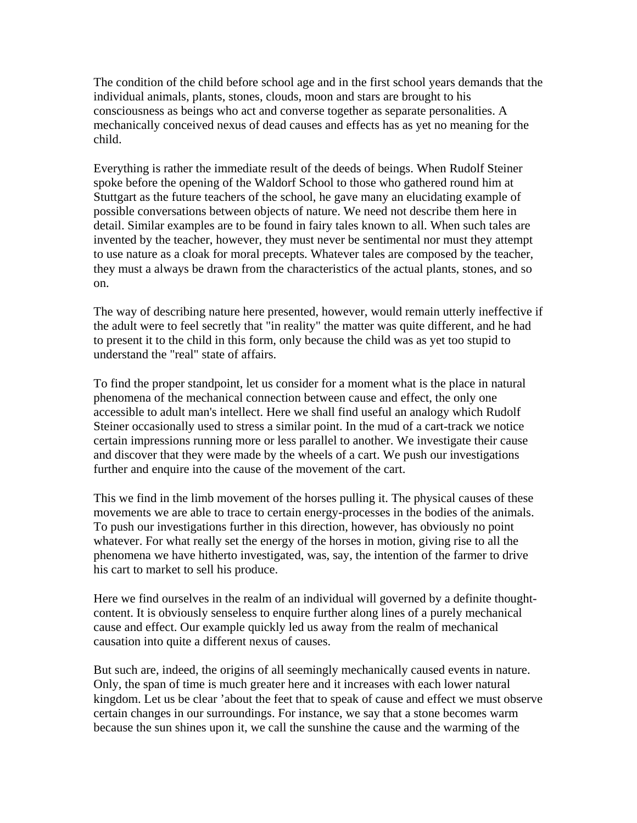The condition of the child before school age and in the first school years demands that the individual animals, plants, stones, clouds, moon and stars are brought to his consciousness as beings who act and converse together as separate personalities. A mechanically conceived nexus of dead causes and effects has as yet no meaning for the child.

Everything is rather the immediate result of the deeds of beings. When Rudolf Steiner spoke before the opening of the Waldorf School to those who gathered round him at Stuttgart as the future teachers of the school, he gave many an elucidating example of possible conversations between objects of nature. We need not describe them here in detail. Similar examples are to be found in fairy tales known to all. When such tales are invented by the teacher, however, they must never be sentimental nor must they attempt to use nature as a cloak for moral precepts. Whatever tales are composed by the teacher, they must a always be drawn from the characteristics of the actual plants, stones, and so on.

The way of describing nature here presented, however, would remain utterly ineffective if the adult were to feel secretly that "in reality" the matter was quite different, and he had to present it to the child in this form, only because the child was as yet too stupid to understand the "real" state of affairs.

To find the proper standpoint, let us consider for a moment what is the place in natural phenomena of the mechanical connection between cause and effect, the only one accessible to adult man's intellect. Here we shall find useful an analogy which Rudolf Steiner occasionally used to stress a similar point. In the mud of a cart-track we notice certain impressions running more or less parallel to another. We investigate their cause and discover that they were made by the wheels of a cart. We push our investigations further and enquire into the cause of the movement of the cart.

This we find in the limb movement of the horses pulling it. The physical causes of these movements we are able to trace to certain energy-processes in the bodies of the animals. To push our investigations further in this direction, however, has obviously no point whatever. For what really set the energy of the horses in motion, giving rise to all the phenomena we have hitherto investigated, was, say, the intention of the farmer to drive his cart to market to sell his produce.

Here we find ourselves in the realm of an individual will governed by a definite thoughtcontent. It is obviously senseless to enquire further along lines of a purely mechanical cause and effect. Our example quickly led us away from the realm of mechanical causation into quite a different nexus of causes.

But such are, indeed, the origins of all seemingly mechanically caused events in nature. Only, the span of time is much greater here and it increases with each lower natural kingdom. Let us be clear 'about the feet that to speak of cause and effect we must observe certain changes in our surroundings. For instance, we say that a stone becomes warm because the sun shines upon it, we call the sunshine the cause and the warming of the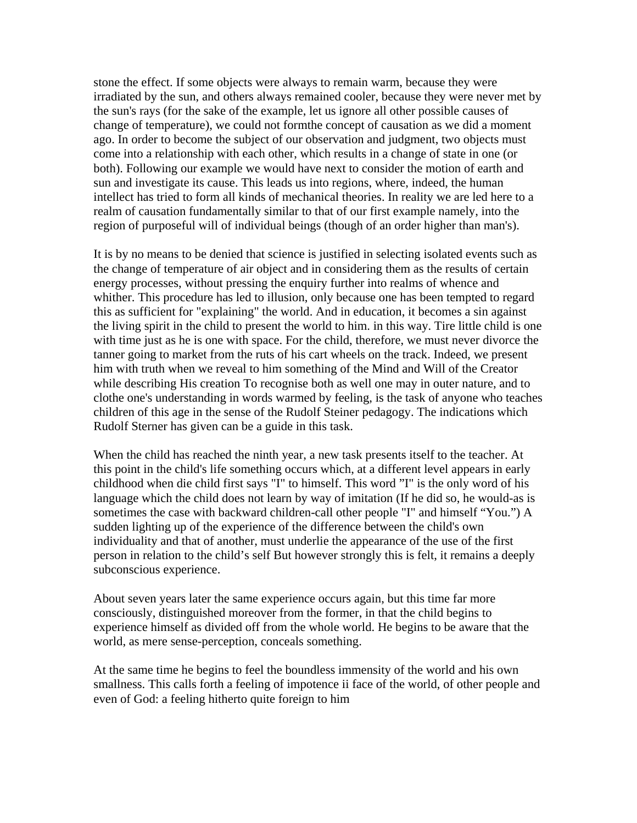stone the effect. If some objects were always to remain warm, because they were irradiated by the sun, and others always remained cooler, because they were never met by the sun's rays (for the sake of the example, let us ignore all other possible causes of change of temperature), we could not formthe concept of causation as we did a moment ago. In order to become the subject of our observation and judgment, two objects must come into a relationship with each other, which results in a change of state in one (or both). Following our example we would have next to consider the motion of earth and sun and investigate its cause. This leads us into regions, where, indeed, the human intellect has tried to form all kinds of mechanical theories. In reality we are led here to a realm of causation fundamentally similar to that of our first example namely, into the region of purposeful will of individual beings (though of an order higher than man's).

It is by no means to be denied that science is justified in selecting isolated events such as the change of temperature of air object and in considering them as the results of certain energy processes, without pressing the enquiry further into realms of whence and whither. This procedure has led to illusion, only because one has been tempted to regard this as sufficient for "explaining" the world. And in education, it becomes a sin against the living spirit in the child to present the world to him. in this way. Tire little child is one with time just as he is one with space. For the child, therefore, we must never divorce the tanner going to market from the ruts of his cart wheels on the track. Indeed, we present him with truth when we reveal to him something of the Mind and Will of the Creator while describing His creation To recognise both as well one may in outer nature, and to clothe one's understanding in words warmed by feeling, is the task of anyone who teaches children of this age in the sense of the Rudolf Steiner pedagogy. The indications which Rudolf Sterner has given can be a guide in this task.

When the child has reached the ninth year, a new task presents itself to the teacher. At this point in the child's life something occurs which, at a different level appears in early childhood when die child first says "I" to himself. This word "I" is the only word of his language which the child does not learn by way of imitation (If he did so, he would-as is sometimes the case with backward children-call other people "I" and himself "You.") A sudden lighting up of the experience of the difference between the child's own individuality and that of another, must underlie the appearance of the use of the first person in relation to the child's self But however strongly this is felt, it remains a deeply subconscious experience.

About seven years later the same experience occurs again, but this time far more consciously, distinguished moreover from the former, in that the child begins to experience himself as divided off from the whole world. He begins to be aware that the world, as mere sense-perception, conceals something.

At the same time he begins to feel the boundless immensity of the world and his own smallness. This calls forth a feeling of impotence ii face of the world, of other people and even of God: a feeling hitherto quite foreign to him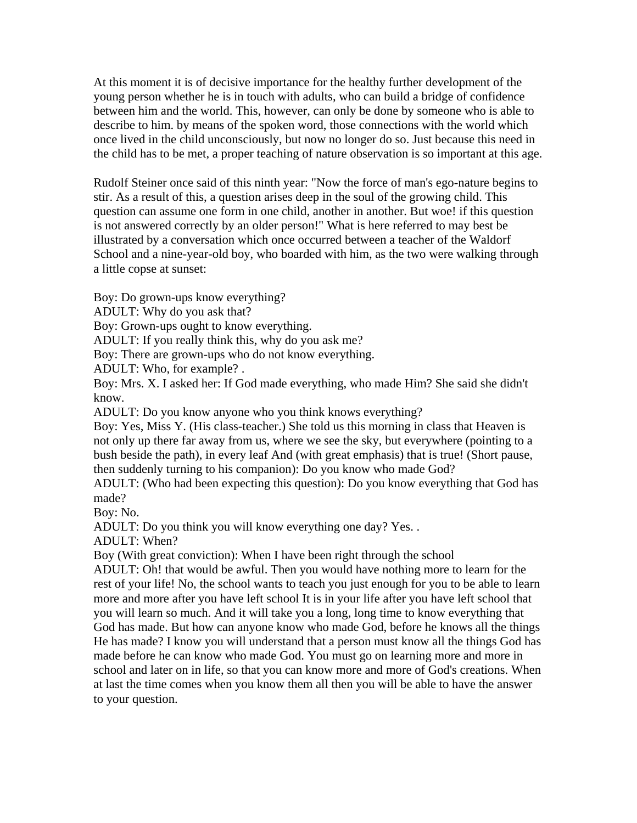At this moment it is of decisive importance for the healthy further development of the young person whether he is in touch with adults, who can build a bridge of confidence between him and the world. This, however, can only be done by someone who is able to describe to him. by means of the spoken word, those connections with the world which once lived in the child unconsciously, but now no longer do so. Just because this need in the child has to be met, a proper teaching of nature observation is so important at this age.

Rudolf Steiner once said of this ninth year: "Now the force of man's ego-nature begins to stir. As a result of this, a question arises deep in the soul of the growing child. This question can assume one form in one child, another in another. But woe! if this question is not answered correctly by an older person!" What is here referred to may best be illustrated by a conversation which once occurred between a teacher of the Waldorf School and a nine-year-old boy, who boarded with him, as the two were walking through a little copse at sunset:

Boy: Do grown-ups know everything?

ADULT: Why do you ask that?

Boy: Grown-ups ought to know everything.

ADULT: If you really think this, why do you ask me?

Boy: There are grown-ups who do not know everything.

ADULT: Who, for example? .

Boy: Mrs. X. I asked her: If God made everything, who made Him? She said she didn't know.

ADULT: Do you know anyone who you think knows everything?

Boy: Yes, Miss Y. (His class-teacher.) She told us this morning in class that Heaven is not only up there far away from us, where we see the sky, but everywhere (pointing to a bush beside the path), in every leaf And (with great emphasis) that is true! (Short pause, then suddenly turning to his companion): Do you know who made God?

ADULT: (Who had been expecting this question): Do you know everything that God has made?

Boy: No.

ADULT: Do you think you will know everything one day? Yes. .

ADULT: When?

Boy (With great conviction): When I have been right through the school

ADULT: Oh! that would be awful. Then you would have nothing more to learn for the rest of your life! No, the school wants to teach you just enough for you to be able to learn more and more after you have left school It is in your life after you have left school that you will learn so much. And it will take you a long, long time to know everything that God has made. But how can anyone know who made God, before he knows all the things He has made? I know you will understand that a person must know all the things God has made before he can know who made God. You must go on learning more and more in school and later on in life, so that you can know more and more of God's creations. When at last the time comes when you know them all then you will be able to have the answer to your question.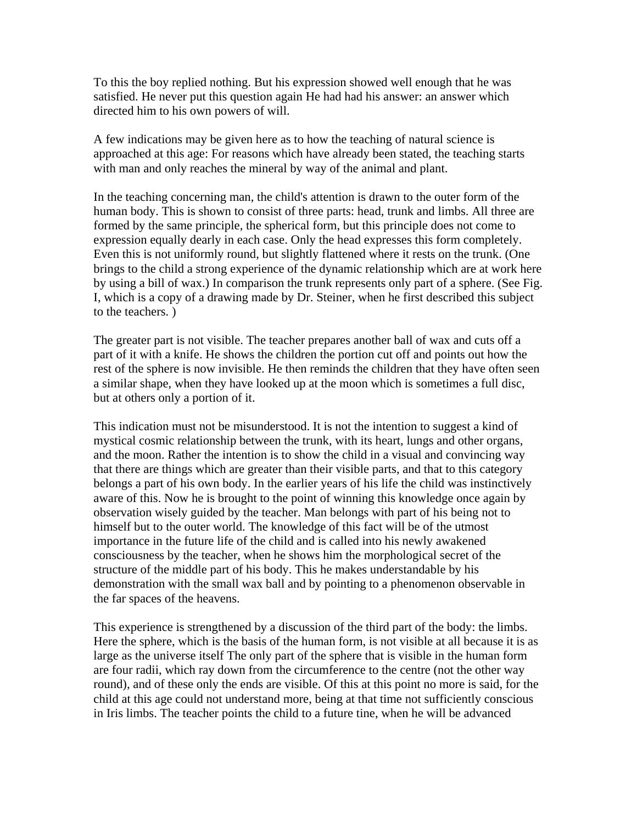To this the boy replied nothing. But his expression showed well enough that he was satisfied. He never put this question again He had had his answer: an answer which directed him to his own powers of will.

A few indications may be given here as to how the teaching of natural science is approached at this age: For reasons which have already been stated, the teaching starts with man and only reaches the mineral by way of the animal and plant.

In the teaching concerning man, the child's attention is drawn to the outer form of the human body. This is shown to consist of three parts: head, trunk and limbs. All three are formed by the same principle, the spherical form, but this principle does not come to expression equally dearly in each case. Only the head expresses this form completely. Even this is not uniformly round, but slightly flattened where it rests on the trunk. (One brings to the child a strong experience of the dynamic relationship which are at work here by using a bill of wax.) In comparison the trunk represents only part of a sphere. (See Fig. I, which is a copy of a drawing made by Dr. Steiner, when he first described this subject to the teachers. )

The greater part is not visible. The teacher prepares another ball of wax and cuts off a part of it with a knife. He shows the children the portion cut off and points out how the rest of the sphere is now invisible. He then reminds the children that they have often seen a similar shape, when they have looked up at the moon which is sometimes a full disc, but at others only a portion of it.

This indication must not be misunderstood. It is not the intention to suggest a kind of mystical cosmic relationship between the trunk, with its heart, lungs and other organs, and the moon. Rather the intention is to show the child in a visual and convincing way that there are things which are greater than their visible parts, and that to this category belongs a part of his own body. In the earlier years of his life the child was instinctively aware of this. Now he is brought to the point of winning this knowledge once again by observation wisely guided by the teacher. Man belongs with part of his being not to himself but to the outer world. The knowledge of this fact will be of the utmost importance in the future life of the child and is called into his newly awakened consciousness by the teacher, when he shows him the morphological secret of the structure of the middle part of his body. This he makes understandable by his demonstration with the small wax ball and by pointing to a phenomenon observable in the far spaces of the heavens.

This experience is strengthened by a discussion of the third part of the body: the limbs. Here the sphere, which is the basis of the human form, is not visible at all because it is as large as the universe itself The only part of the sphere that is visible in the human form are four radii, which ray down from the circumference to the centre (not the other way round), and of these only the ends are visible. Of this at this point no more is said, for the child at this age could not understand more, being at that time not sufficiently conscious in Iris limbs. The teacher points the child to a future tine, when he will be advanced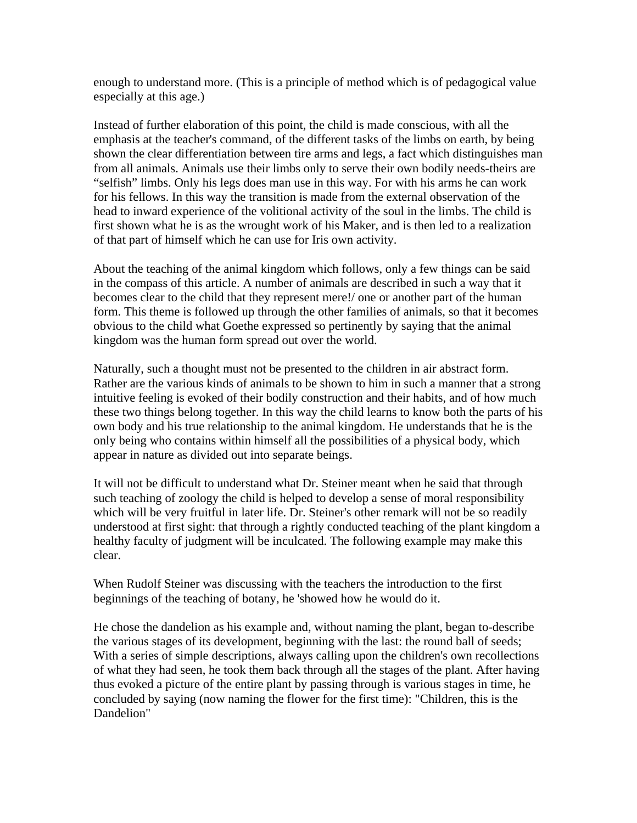enough to understand more. (This is a principle of method which is of pedagogical value especially at this age.)

Instead of further elaboration of this point, the child is made conscious, with all the emphasis at the teacher's command, of the different tasks of the limbs on earth, by being shown the clear differentiation between tire arms and legs, a fact which distinguishes man from all animals. Animals use their limbs only to serve their own bodily needs-theirs are "selfish" limbs. Only his legs does man use in this way. For with his arms he can work for his fellows. In this way the transition is made from the external observation of the head to inward experience of the volitional activity of the soul in the limbs. The child is first shown what he is as the wrought work of his Maker, and is then led to a realization of that part of himself which he can use for Iris own activity.

About the teaching of the animal kingdom which follows, only a few things can be said in the compass of this article. A number of animals are described in such a way that it becomes clear to the child that they represent mere!/ one or another part of the human form. This theme is followed up through the other families of animals, so that it becomes obvious to the child what Goethe expressed so pertinently by saying that the animal kingdom was the human form spread out over the world.

Naturally, such a thought must not be presented to the children in air abstract form. Rather are the various kinds of animals to be shown to him in such a manner that a strong intuitive feeling is evoked of their bodily construction and their habits, and of how much these two things belong together. In this way the child learns to know both the parts of his own body and his true relationship to the animal kingdom. He understands that he is the only being who contains within himself all the possibilities of a physical body, which appear in nature as divided out into separate beings.

It will not be difficult to understand what Dr. Steiner meant when he said that through such teaching of zoology the child is helped to develop a sense of moral responsibility which will be very fruitful in later life. Dr. Steiner's other remark will not be so readily understood at first sight: that through a rightly conducted teaching of the plant kingdom a healthy faculty of judgment will be inculcated. The following example may make this clear.

When Rudolf Steiner was discussing with the teachers the introduction to the first beginnings of the teaching of botany, he 'showed how he would do it.

He chose the dandelion as his example and, without naming the plant, began to-describe the various stages of its development, beginning with the last: the round ball of seeds; With a series of simple descriptions, always calling upon the children's own recollections of what they had seen, he took them back through all the stages of the plant. After having thus evoked a picture of the entire plant by passing through is various stages in time, he concluded by saying (now naming the flower for the first time): "Children, this is the Dandelion"